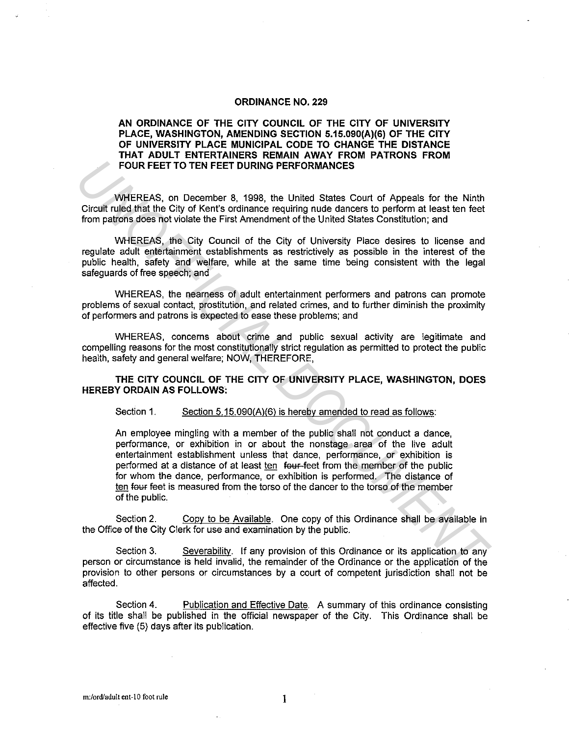#### **ORDINANCE NO. 229**

# **AN ORDINANCE OF THE CITY COUNCIL OF THE CITY OF UNIVERSITY PLACE, WASHINGTON, AMENDING SECTION 5.15.090(A)(6) OF THE CITY OF UNIVERSITY PLACE MUNICIPAL CODE TO CHANGE THE DISTANCE THAT ADULT ENTERTAINERS REMAIN AWAY FROM PATRONS FROM FOUR FEET TO TEN FEET DURING PERFORMANCES**

WHEREAS, on December 8, 1998, the United States Court of Appeals for the Ninth Circuit ruled that the City of Kent's ordinance requiring nude dancers to perform at least ten feet from patrons does not violate the First Amendment of the United States Constitution; and

WHEREAS, the City Council of the City of University Place desires to license and regulate adult entertainment establishments as restrictively as possible in the interest of the public health, safety and welfare, while at the same time being consistent with the legal safeguards of free speech; and

WHEREAS, the nearness of adult entertainment performers and patrons can promote problems of sexual contact, prostitution, and related crimes, and to further diminish the proximity of performers and patrons is expected to ease these problems; and

WHEREAS, concerns about crime and public sexual activity are legitimate and compelling reasons for the most constitutionally strict regulation as permitted to protect the public health, safety and general welfare; NOW, THEREFORE,

### **THE CITY COUNCIL OF THE CITY OF UNIVERSITY PLACE, WASHINGTON, DOES HEREBY ORDAIN AS FOLLOWS:**

## Section 1. Section 5.15.090(A)(6) is hereby amended to read as follows:

An employee mingling with a member of the public shall not conduct a dance, performance, or exhibition in or about the nonstage area of the live adult entertainment establishment unless that dance, performance, or exhibition is performed at a distance of at least ten four-feet from the member of the public for whom the dance, performance, or exhibition is performed. The distance of ten four feet is measured from the torso of the dancer to the torso of the member of the public. **FOUR FEET TO TEN FEET OURING PERFORMANCES**<br>
WHEREAS, on December 8, 1998, the United States Court of Appeals for the Ninth<br>
Circuit ruled that the City of Kent's ordinance requiring nude dancers to perform at least ten fe

Section 2. Copy to be Available. One copy of this Ordinance shall be available in the Office of the City Clerk for use and examination by the public.

Section 3. Severability. If any provision of this Ordinance or its application to any person or circumstance is held invalid, the remainder of the Ordinance or the application of the provision to other persons or circumstances by a court of competent jurisdiction shall not be affected.

Section 4. Publication and Effective Date. A summary of this ordinance consisting of its title shall be published in the official newspaper of the City. This Ordinance shall be effective five (5) days after its publication.